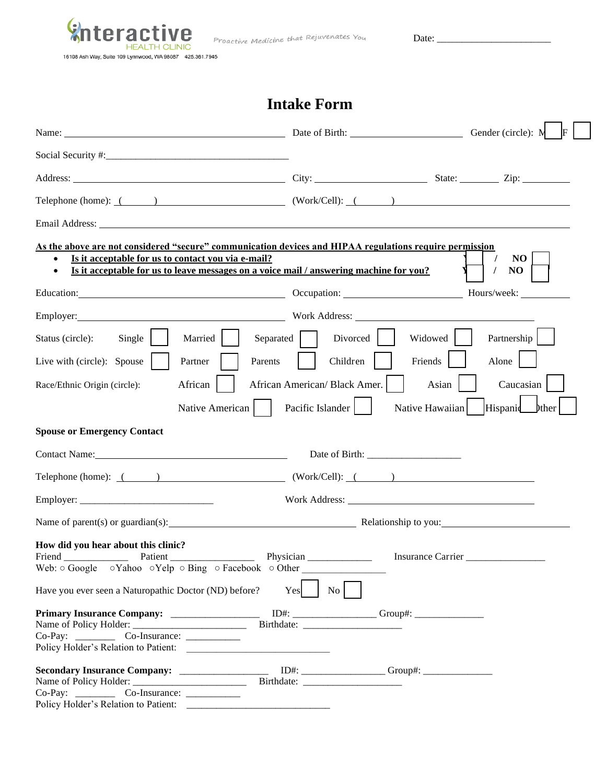

Proactive Medicine that Rejuvenates You

Date:  $\_\_$ 

**Intake Form**

| Name: Cender (circle): M                                                                                                                                                                                                                                                          |                                                                                                                                                                                                                                | lF.                  |
|-----------------------------------------------------------------------------------------------------------------------------------------------------------------------------------------------------------------------------------------------------------------------------------|--------------------------------------------------------------------------------------------------------------------------------------------------------------------------------------------------------------------------------|----------------------|
|                                                                                                                                                                                                                                                                                   |                                                                                                                                                                                                                                |                      |
|                                                                                                                                                                                                                                                                                   |                                                                                                                                                                                                                                |                      |
|                                                                                                                                                                                                                                                                                   |                                                                                                                                                                                                                                |                      |
|                                                                                                                                                                                                                                                                                   |                                                                                                                                                                                                                                |                      |
| As the above are not considered "secure" communication devices and HIPAA regulations require permission<br>Is it acceptable for us to contact you via e-mail?<br>$\bullet$<br>Is it acceptable for us to leave messages on a voice mail / answering machine for you?<br>$\bullet$ |                                                                                                                                                                                                                                | NO<br>NO             |
| Education: Hours/week: Hours/week: Hours/week: Hours/week: Hours/week: New York 2014                                                                                                                                                                                              |                                                                                                                                                                                                                                |                      |
|                                                                                                                                                                                                                                                                                   |                                                                                                                                                                                                                                |                      |
| Status (circle): Single<br>Married                                                                                                                                                                                                                                                | Divorced  <br>Separated $\vert \vert$<br>Widowed                                                                                                                                                                               | Partnership          |
| Partner<br>Parents<br>Live with (circle): Spouse                                                                                                                                                                                                                                  | Friends<br>Children                                                                                                                                                                                                            | Alone $\vert \vert$  |
| African<br>Race/Ethnic Origin (circle):                                                                                                                                                                                                                                           | African American/ Black Amer.<br>Asian                                                                                                                                                                                         | Caucasian            |
| Native American                                                                                                                                                                                                                                                                   | Pacific Islander<br>Native Hawaiian                                                                                                                                                                                            | Hispanid<br>$[$ ther |
| <b>Spouse or Emergency Contact</b>                                                                                                                                                                                                                                                |                                                                                                                                                                                                                                |                      |
| Contact Name: 1000 million and the contract Name:                                                                                                                                                                                                                                 |                                                                                                                                                                                                                                |                      |
| Telephone (home): ( ) (Work/Cell): ( ) (Work/Cell): ( )                                                                                                                                                                                                                           |                                                                                                                                                                                                                                |                      |
|                                                                                                                                                                                                                                                                                   | Work Address: Universe of the Second Second Second Second Second Second Second Second Second Second Second Second Second Second Second Second Second Second Second Second Second Second Second Second Second Second Second Sec |                      |
| Name of parent(s) or guardian(s): Relationship to you: Relationship to you:                                                                                                                                                                                                       |                                                                                                                                                                                                                                |                      |
| How did you hear about this clinic?<br>Web: $\circ$ Google $\circ$ Yahoo $\circ$ Yelp $\circ$ Bing $\circ$ Facebook $\circ$ Other<br>Have you ever seen a Naturopathic Doctor (ND) before?                                                                                        | Physician ______________<br>Yes<br>$\overline{N_{0}}$                                                                                                                                                                          | Insurance Carrier    |
| $Co-Pay:$ $Co-Insurance:$                                                                                                                                                                                                                                                         |                                                                                                                                                                                                                                |                      |
| Secondary Insurance Company: ____________________ ID#: ________________Group#: _____________________<br>$Co-Pay:$ $Co-Insurance:$ $________$                                                                                                                                      |                                                                                                                                                                                                                                |                      |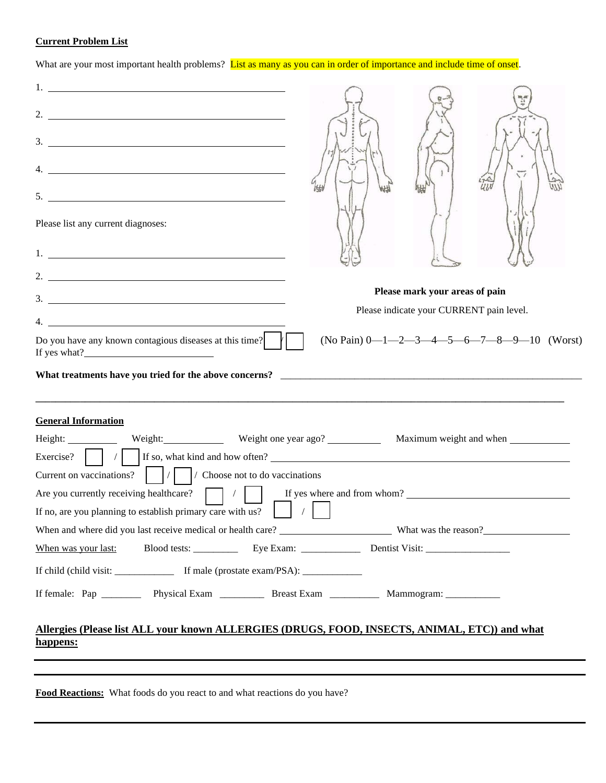### **Current Problem List**

What are your most important health problems? List as many as you can in order of importance and include time of onset.

| $1.$ $\overline{\phantom{a}}$ $\overline{\phantom{a}}$ $\overline{\phantom{a}}$ $\overline{\phantom{a}}$ $\overline{\phantom{a}}$ $\overline{\phantom{a}}$ $\overline{\phantom{a}}$ $\overline{\phantom{a}}$ $\overline{\phantom{a}}$ $\overline{\phantom{a}}$ $\overline{\phantom{a}}$ $\overline{\phantom{a}}$ $\overline{\phantom{a}}$ $\overline{\phantom{a}}$ $\overline{\phantom{a}}$ $\overline{\phantom{a}}$ $\overline{\phantom{a}}$ $\overline{\phantom{a}}$<br>2. $\frac{1}{2}$ $\frac{1}{2}$ $\frac{1}{2}$ $\frac{1}{2}$ $\frac{1}{2}$ $\frac{1}{2}$ $\frac{1}{2}$ $\frac{1}{2}$ $\frac{1}{2}$ $\frac{1}{2}$ $\frac{1}{2}$ $\frac{1}{2}$ $\frac{1}{2}$ $\frac{1}{2}$ $\frac{1}{2}$ $\frac{1}{2}$ $\frac{1}{2}$ $\frac{1}{2}$ $\frac{1}{2}$ $\frac{1}{2}$ $\frac{1}{2}$ $\frac{1}{2}$ |                                              |                                          |                                            |
|--------------------------------------------------------------------------------------------------------------------------------------------------------------------------------------------------------------------------------------------------------------------------------------------------------------------------------------------------------------------------------------------------------------------------------------------------------------------------------------------------------------------------------------------------------------------------------------------------------------------------------------------------------------------------------------------------------------------------------------------------------------------------------------------------|----------------------------------------------|------------------------------------------|--------------------------------------------|
| $\frac{3}{2}$                                                                                                                                                                                                                                                                                                                                                                                                                                                                                                                                                                                                                                                                                                                                                                                    |                                              |                                          |                                            |
| 4.                                                                                                                                                                                                                                                                                                                                                                                                                                                                                                                                                                                                                                                                                                                                                                                               |                                              |                                          |                                            |
| $5.$ $\frac{1}{2}$ $\frac{1}{2}$ $\frac{1}{2}$ $\frac{1}{2}$ $\frac{1}{2}$ $\frac{1}{2}$ $\frac{1}{2}$ $\frac{1}{2}$ $\frac{1}{2}$ $\frac{1}{2}$ $\frac{1}{2}$ $\frac{1}{2}$ $\frac{1}{2}$ $\frac{1}{2}$ $\frac{1}{2}$ $\frac{1}{2}$ $\frac{1}{2}$ $\frac{1}{2}$ $\frac{1}{2}$ $\frac{1}{2}$ $\frac{1}{2}$ $\frac{1}{$                                                                                                                                                                                                                                                                                                                                                                                                                                                                           |                                              |                                          |                                            |
| Please list any current diagnoses:                                                                                                                                                                                                                                                                                                                                                                                                                                                                                                                                                                                                                                                                                                                                                               |                                              |                                          |                                            |
| $1.$ $\overline{\phantom{a}}$                                                                                                                                                                                                                                                                                                                                                                                                                                                                                                                                                                                                                                                                                                                                                                    |                                              |                                          |                                            |
| 2. $\qquad \qquad$                                                                                                                                                                                                                                                                                                                                                                                                                                                                                                                                                                                                                                                                                                                                                                               |                                              | Please mark your areas of pain           |                                            |
| $4. \_$                                                                                                                                                                                                                                                                                                                                                                                                                                                                                                                                                                                                                                                                                                                                                                                          |                                              | Please indicate your CURRENT pain level. |                                            |
| Do you have any known contagious diseases at this time?                                                                                                                                                                                                                                                                                                                                                                                                                                                                                                                                                                                                                                                                                                                                          |                                              |                                          | (No Pain) $0-1-2-3-4-5-6-7-8-9-10$ (Worst) |
|                                                                                                                                                                                                                                                                                                                                                                                                                                                                                                                                                                                                                                                                                                                                                                                                  |                                              |                                          |                                            |
| <b>General Information</b>                                                                                                                                                                                                                                                                                                                                                                                                                                                                                                                                                                                                                                                                                                                                                                       |                                              |                                          |                                            |
| Height: Weight: Weight: Weight one year ago? Maximum weight and when                                                                                                                                                                                                                                                                                                                                                                                                                                                                                                                                                                                                                                                                                                                             |                                              |                                          |                                            |
|                                                                                                                                                                                                                                                                                                                                                                                                                                                                                                                                                                                                                                                                                                                                                                                                  |                                              |                                          |                                            |
| Current on vaccinations? $\left  \frac{1}{\sqrt{2}} \right $ / Choose not to do vaccinations                                                                                                                                                                                                                                                                                                                                                                                                                                                                                                                                                                                                                                                                                                     |                                              |                                          |                                            |
| Are you currently receiving healthcare? $\boxed{\phantom{a}}$<br>If no, are you planning to establish primary care with us?                                                                                                                                                                                                                                                                                                                                                                                                                                                                                                                                                                                                                                                                      | If yes where and from whom?<br>$\frac{1}{2}$ |                                          |                                            |
| When and where did you last receive medical or health care? What was the reason?                                                                                                                                                                                                                                                                                                                                                                                                                                                                                                                                                                                                                                                                                                                 |                                              |                                          |                                            |
| When was your last:                                                                                                                                                                                                                                                                                                                                                                                                                                                                                                                                                                                                                                                                                                                                                                              |                                              |                                          |                                            |
|                                                                                                                                                                                                                                                                                                                                                                                                                                                                                                                                                                                                                                                                                                                                                                                                  |                                              |                                          |                                            |
|                                                                                                                                                                                                                                                                                                                                                                                                                                                                                                                                                                                                                                                                                                                                                                                                  |                                              |                                          |                                            |
| Allergies (Please list ALL your known ALLERGIES (DRUGS, FOOD, INSECTS, ANIMAL, ETC)) and what<br>happens:                                                                                                                                                                                                                                                                                                                                                                                                                                                                                                                                                                                                                                                                                        |                                              |                                          |                                            |
|                                                                                                                                                                                                                                                                                                                                                                                                                                                                                                                                                                                                                                                                                                                                                                                                  |                                              |                                          |                                            |

**Food Reactions:** What foods do you react to and what reactions do you have?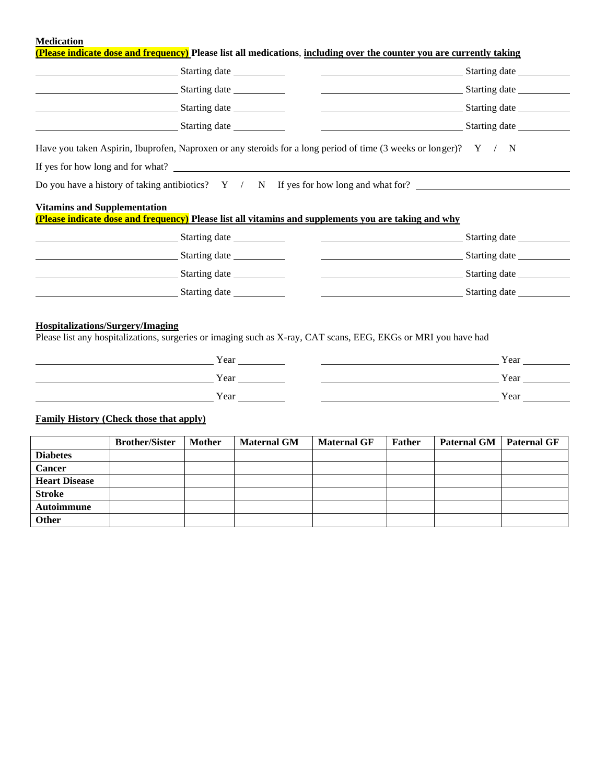**Medication**

|                                     | <b>Family History (Check those that apply)</b><br><b>Brother/Sister</b> |  | <b>Maternal GM</b> | <b>Maternal GF</b>                                                                                                 |  | <b>Paternal GM</b>                                                                                                                                                                                                             | <b>Paternal GF</b> |
|-------------------------------------|-------------------------------------------------------------------------|--|--------------------|--------------------------------------------------------------------------------------------------------------------|--|--------------------------------------------------------------------------------------------------------------------------------------------------------------------------------------------------------------------------------|--------------------|
|                                     |                                                                         |  |                    |                                                                                                                    |  |                                                                                                                                                                                                                                |                    |
|                                     | Year                                                                    |  |                    |                                                                                                                    |  | Year Year New York New York New York New York New York New York New York New York New York New York New York New York New York New York New York New York New York New York New York New York New York New York New York New Y |                    |
| $Year$ $Year$<br>Year               |                                                                         |  |                    |                                                                                                                    |  |                                                                                                                                                                                                                                |                    |
|                                     | $Year$ Pread Press, and Press Pread Press, $Year$                       |  |                    |                                                                                                                    |  |                                                                                                                                                                                                                                |                    |
|                                     |                                                                         |  |                    | Please list any hospitalizations, surgeries or imaging such as X-ray, CAT scans, EEG, EKGs or MRI you have had     |  |                                                                                                                                                                                                                                |                    |
|                                     | <b>Hospitalizations/Surgery/Imaging</b>                                 |  |                    |                                                                                                                    |  |                                                                                                                                                                                                                                |                    |
|                                     |                                                                         |  |                    |                                                                                                                    |  | Starting date                                                                                                                                                                                                                  |                    |
|                                     |                                                                         |  |                    | Starting date                                                                                                      |  |                                                                                                                                                                                                                                |                    |
|                                     |                                                                         |  |                    |                                                                                                                    |  |                                                                                                                                                                                                                                |                    |
|                                     |                                                                         |  |                    |                                                                                                                    |  | Starting date                                                                                                                                                                                                                  |                    |
| <b>Vitamins and Supplementation</b> |                                                                         |  |                    | (Please indicate dose and frequency) Please list all vitamins and supplements you are taking and why               |  |                                                                                                                                                                                                                                |                    |
|                                     |                                                                         |  |                    | Do you have a history of taking antibiotics? $Y / N$ If yes for how long and what for?                             |  |                                                                                                                                                                                                                                |                    |
|                                     |                                                                         |  |                    | If yes for how long and for what?                                                                                  |  |                                                                                                                                                                                                                                |                    |
|                                     |                                                                         |  |                    | Have you taken Aspirin, Ibuprofen, Naproxen or any steroids for a long period of time (3 weeks or longer)? $Y / N$ |  |                                                                                                                                                                                                                                |                    |
|                                     |                                                                         |  |                    |                                                                                                                    |  |                                                                                                                                                                                                                                |                    |
|                                     |                                                                         |  |                    | Starting date                                                                                                      |  |                                                                                                                                                                                                                                |                    |
|                                     |                                                                         |  |                    |                                                                                                                    |  |                                                                                                                                                                                                                                |                    |
|                                     |                                                                         |  |                    |                                                                                                                    |  |                                                                                                                                                                                                                                |                    |

| <b>Diabetes</b>      |  |  |  |  |
|----------------------|--|--|--|--|
| <b>Cancer</b>        |  |  |  |  |
| <b>Heart Disease</b> |  |  |  |  |
| <b>Stroke</b>        |  |  |  |  |
| Autoimmune           |  |  |  |  |
| <b>Other</b>         |  |  |  |  |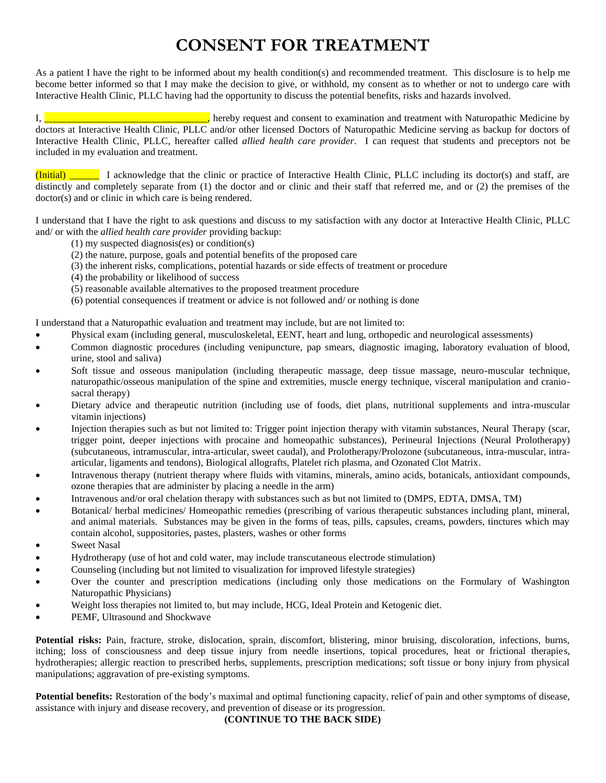# **CONSENT FOR TREATMENT**

As a patient I have the right to be informed about my health condition(s) and recommended treatment. This disclosure is to help me become better informed so that I may make the decision to give, or withhold, my consent as to whether or not to undergo care with Interactive Health Clinic, PLLC having had the opportunity to discuss the potential benefits, risks and hazards involved.

I,  $\blacksquare$ doctors at Interactive Health Clinic, PLLC and/or other licensed Doctors of Naturopathic Medicine serving as backup for doctors of Interactive Health Clinic, PLLC, hereafter called *allied health care provider*. I can request that students and preceptors not be included in my evaluation and treatment.

(Initial) \_\_\_\_\_\_ I acknowledge that the clinic or practice of Interactive Health Clinic, PLLC including its doctor(s) and staff, are distinctly and completely separate from (1) the doctor and or clinic and their staff that referred me, and or (2) the premises of the doctor(s) and or clinic in which care is being rendered.

I understand that I have the right to ask questions and discuss to my satisfaction with any doctor at Interactive Health Clinic, PLLC and/ or with the *allied health care provider* providing backup:

- (1) my suspected diagnosis(es) or condition(s)
- (2) the nature, purpose, goals and potential benefits of the proposed care
- (3) the inherent risks, complications, potential hazards or side effects of treatment or procedure
- (4) the probability or likelihood of success
- (5) reasonable available alternatives to the proposed treatment procedure
- (6) potential consequences if treatment or advice is not followed and/ or nothing is done

I understand that a Naturopathic evaluation and treatment may include, but are not limited to:

- Physical exam (including general, musculoskeletal, EENT, heart and lung, orthopedic and neurological assessments)
- Common diagnostic procedures (including venipuncture, pap smears, diagnostic imaging, laboratory evaluation of blood, urine, stool and saliva)
- Soft tissue and osseous manipulation (including therapeutic massage, deep tissue massage, neuro-muscular technique, naturopathic/osseous manipulation of the spine and extremities, muscle energy technique, visceral manipulation and craniosacral therapy)
- Dietary advice and therapeutic nutrition (including use of foods, diet plans, nutritional supplements and intra-muscular vitamin injections)
- Injection therapies such as but not limited to: Trigger point injection therapy with vitamin substances, Neural Therapy (scar, trigger point, deeper injections with procaine and homeopathic substances), Perineural Injections (Neural Prolotherapy) (subcutaneous, intramuscular, intra-articular, sweet caudal), and Prolotherapy/Prolozone (subcutaneous, intra-muscular, intraarticular, ligaments and tendons), Biological allografts, Platelet rich plasma, and Ozonated Clot Matrix.
- Intravenous therapy (nutrient therapy where fluids with vitamins, minerals, amino acids, botanicals, antioxidant compounds, ozone therapies that are administer by placing a needle in the arm)
- Intravenous and/or oral chelation therapy with substances such as but not limited to (DMPS, EDTA, DMSA, TM)
- Botanical/ herbal medicines/ Homeopathic remedies (prescribing of various therapeutic substances including plant, mineral, and animal materials. Substances may be given in the forms of teas, pills, capsules, creams, powders, tinctures which may contain alcohol, suppositories, pastes, plasters, washes or other forms
- **Sweet Nasal**
- Hydrotherapy (use of hot and cold water, may include transcutaneous electrode stimulation)
- Counseling (including but not limited to visualization for improved lifestyle strategies)
- Over the counter and prescription medications (including only those medications on the Formulary of Washington Naturopathic Physicians)
- Weight loss therapies not limited to, but may include, HCG, Ideal Protein and Ketogenic diet.
- PEMF, Ultrasound and Shockwave

**Potential risks:** Pain, fracture, stroke, dislocation, sprain, discomfort, blistering, minor bruising, discoloration, infections, burns, itching; loss of consciousness and deep tissue injury from needle insertions, topical procedures, heat or frictional therapies, hydrotherapies; allergic reaction to prescribed herbs, supplements, prescription medications; soft tissue or bony injury from physical manipulations; aggravation of pre-existing symptoms.

**Potential benefits:** Restoration of the body's maximal and optimal functioning capacity, relief of pain and other symptoms of disease, assistance with injury and disease recovery, and prevention of disease or its progression.

**(CONTINUE TO THE BACK SIDE)**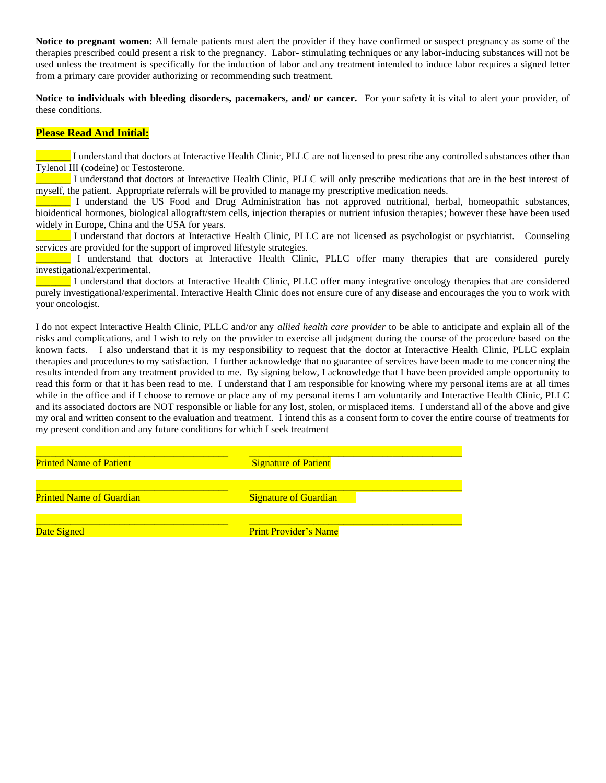**Notice to pregnant women:** All female patients must alert the provider if they have confirmed or suspect pregnancy as some of the therapies prescribed could present a risk to the pregnancy. Labor- stimulating techniques or any labor-inducing substances will not be used unless the treatment is specifically for the induction of labor and any treatment intended to induce labor requires a signed letter from a primary care provider authorizing or recommending such treatment.

**Notice to individuals with bleeding disorders, pacemakers, and/ or cancer.** For your safety it is vital to alert your provider, of these conditions.

#### **Please Read And Initial:**

**\_\_\_\_\_\_\_** I understand that doctors at Interactive Health Clinic, PLLC are not licensed to prescribe any controlled substances other than Tylenol III (codeine) or Testosterone.

\_\_\_\_\_\_\_ I understand that doctors at Interactive Health Clinic, PLLC will only prescribe medications that are in the best interest of myself, the patient. Appropriate referrals will be provided to manage my prescriptive medication needs.

\_\_\_\_\_\_\_ I understand the US Food and Drug Administration has not approved nutritional, herbal, homeopathic substances, bioidentical hormones, biological allograft/stem cells, injection therapies or nutrient infusion therapies; however these have been used widely in Europe, China and the USA for years.

\_\_\_\_\_\_\_ I understand that doctors at Interactive Health Clinic, PLLC are not licensed as psychologist or psychiatrist. Counseling services are provided for the support of improved lifestyle strategies.

\_\_\_\_\_\_\_ I understand that doctors at Interactive Health Clinic, PLLC offer many therapies that are considered purely investigational/experimental.

\_\_\_\_\_\_\_ I understand that doctors at Interactive Health Clinic, PLLC offer many integrative oncology therapies that are considered purely investigational/experimental. Interactive Health Clinic does not ensure cure of any disease and encourages the you to work with your oncologist.

I do not expect Interactive Health Clinic, PLLC and/or any *allied health care provider* to be able to anticipate and explain all of the risks and complications, and I wish to rely on the provider to exercise all judgment during the course of the procedure based on the known facts. I also understand that it is my responsibility to request that the doctor at Interactive Health Clinic, PLLC explain therapies and procedures to my satisfaction. I further acknowledge that no guarantee of services have been made to me concerning the results intended from any treatment provided to me. By signing below, I acknowledge that I have been provided ample opportunity to read this form or that it has been read to me. I understand that I am responsible for knowing where my personal items are at all times while in the office and if I choose to remove or place any of my personal items I am voluntarily and Interactive Health Clinic, PLLC and its associated doctors are NOT responsible or liable for any lost, stolen, or misplaced items. I understand all of the above and give my oral and written consent to the evaluation and treatment. I intend this as a consent form to cover the entire course of treatments for my present condition and any future conditions for which I seek treatment

\_\_\_\_\_\_\_\_\_\_\_\_\_\_\_\_\_\_\_\_\_\_\_\_\_\_\_\_\_\_\_\_\_\_\_\_\_\_\_ \_\_\_\_\_\_\_\_\_\_\_\_\_\_\_\_\_\_\_\_\_\_\_\_\_\_\_\_\_\_\_\_\_\_\_\_\_\_\_\_\_\_\_ Printed Name of Patient Signature of Patient Signature of Patient \_\_\_\_\_\_\_\_\_\_\_\_\_\_\_\_\_\_\_\_\_\_\_\_\_\_\_\_\_\_\_\_\_\_\_\_\_\_\_ \_\_\_\_\_\_\_\_\_\_\_\_\_\_\_\_\_\_\_\_\_\_\_\_\_\_\_\_\_\_\_\_\_\_\_\_\_\_\_\_\_\_\_ Printed Name of Guardian Signature of Guardian \_\_\_\_\_\_\_\_\_\_\_\_\_\_\_\_\_\_\_\_\_\_\_\_\_\_\_\_\_\_\_\_\_\_\_\_\_\_\_ \_\_\_\_\_\_\_\_\_\_\_\_\_\_\_\_\_\_\_\_\_\_\_\_\_\_\_\_\_\_\_\_\_\_\_\_\_\_\_\_\_\_\_ Date Signed **Print Provider's Name**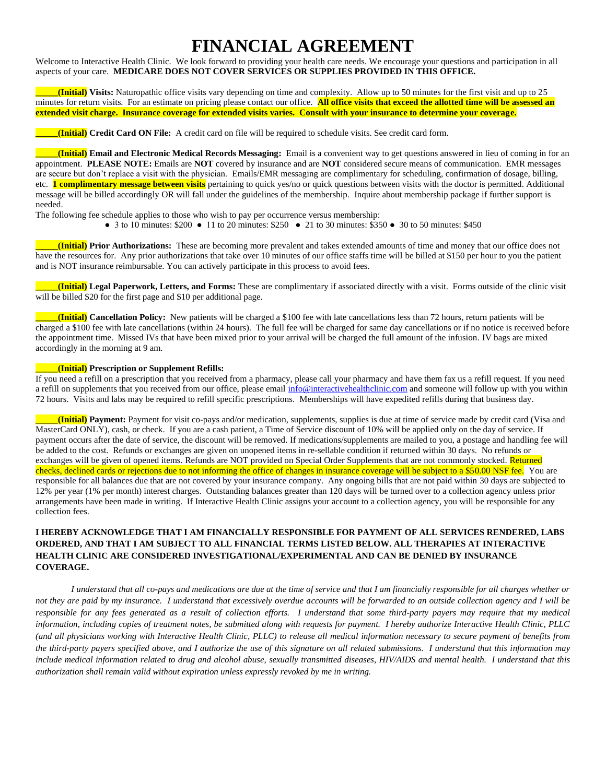## **FINANCIAL AGREEMENT**

Welcome to Interactive Health Clinic. We look forward to providing your health care needs. We encourage your questions and participation in all aspects of your care. **MEDICARE DOES NOT COVER SERVICES OR SUPPLIES PROVIDED IN THIS OFFICE.**

**\_\_\_\_\_(Initial) Visits:** Naturopathic office visits vary depending on time and complexity. Allow up to 50 minutes for the first visit and up to 25 minutes for return visits. For an estimate on pricing please contact our office. **All office visits that exceed the allotted time will be assessed an extended visit charge. Insurance coverage for extended visits varies. Consult with your insurance to determine your coverage.**

**\_\_\_\_\_(Initial) Credit Card ON File:** A credit card on file will be required to schedule visits. See credit card form.

**\_\_\_\_\_(Initial) Email and Electronic Medical Records Messaging:** Email is a convenient way to get questions answered in lieu of coming in for an appointment. **PLEASE NOTE:** Emails are **NOT** covered by insurance and are **NOT** considered secure means of communication. EMR messages are secure but don't replace a visit with the physician. Emails/EMR messaging are complimentary for scheduling, confirmation of dosage, billing, etc. **1 complimentary message between visits** pertaining to quick yes/no or quick questions between visits with the doctor is permitted. Additional message will be billed accordingly OR will fall under the guidelines of the membership. Inquire about membership package if further support is needed.

The following fee schedule applies to those who wish to pay per occurrence versus membership:

● 3 to 10 minutes: \$200 ● 11 to 20 minutes: \$250 ● 21 to 30 minutes: \$350 ● 30 to 50 minutes: \$450

**\_\_\_\_\_(Initial) Prior Authorizations:** These are becoming more prevalent and takes extended amounts of time and money that our office does not have the resources for. Any prior authorizations that take over 10 minutes of our office staffs time will be billed at \$150 per hour to you the patient and is NOT insurance reimbursable. You can actively participate in this process to avoid fees.

**\_\_\_\_\_(Initial) Legal Paperwork, Letters, and Forms:** These are complimentary if associated directly with a visit. Forms outside of the clinic visit will be billed \$20 for the first page and \$10 per additional page.

**\_\_\_\_\_(Initial) Cancellation Policy:** New patients will be charged a \$100 fee with late cancellations less than 72 hours, return patients will be charged a \$100 fee with late cancellations (within 24 hours). The full fee will be charged for same day cancellations or if no notice is received before the appointment time. Missed IVs that have been mixed prior to your arrival will be charged the full amount of the infusion. IV bags are mixed accordingly in the morning at 9 am.

#### **\_\_\_\_\_(Initial) Prescription or Supplement Refills:**

If you need a refill on a prescription that you received from a pharmacy, please call your pharmacy and have them fax us a refill request. If you need a refill on supplements that you received from our office, please email [info@interactivehealthclinic.com](mailto:info@interactivehealthclinic.com) and someone will follow up with you within 72 hours. Visits and labs may be required to refill specific prescriptions. Memberships will have expedited refills during that business day.

**\_\_\_\_\_(Initial) Payment:** Payment for visit co-pays and/or medication, supplements, supplies is due at time of service made by credit card (Visa and MasterCard ONLY), cash, or check. If you are a cash patient, a Time of Service discount of 10% will be applied only on the day of service. If payment occurs after the date of service, the discount will be removed. If medications/supplements are mailed to you, a postage and handling fee will be added to the cost. Refunds or exchanges are given on unopened items in re-sellable condition if returned within 30 days. No refunds or exchanges will be given of opened items. Refunds are NOT provided on Special Order Supplements that are not commonly stocked. Returned checks, declined cards or rejections due to not informing the office of changes in insurance coverage will be subject to a \$50.00 NSF fee. You are responsible for all balances due that are not covered by your insurance company. Any ongoing bills that are not paid within 30 days are subjected to 12% per year (1% per month) interest charges. Outstanding balances greater than 120 days will be turned over to a collection agency unless prior arrangements have been made in writing. If Interactive Health Clinic assigns your account to a collection agency, you will be responsible for any collection fees.

#### **I HEREBY ACKNOWLEDGE THAT I AM FINANCIALLY RESPONSIBLE FOR PAYMENT OF ALL SERVICES RENDERED, LABS ORDERED, AND THAT I AM SUBJECT TO ALL FINANCIAL TERMS LISTED BELOW. ALL THERAPIES AT INTERACTIVE HEALTH CLINIC ARE CONSIDERED INVESTIGATIONAL/EXPERIMENTAL AND CAN BE DENIED BY INSURANCE COVERAGE.**

*I understand that all co-pays and medications are due at the time of service and that I am financially responsible for all charges whether or not they are paid by my insurance. I understand that excessively overdue accounts will be forwarded to an outside collection agency and I will be responsible for any fees generated as a result of collection efforts. I understand that some third-party payers may require that my medical information, including copies of treatment notes, be submitted along with requests for payment. I hereby authorize Interactive Health Clinic, PLLC (and all physicians working with Interactive Health Clinic, PLLC) to release all medical information necessary to secure payment of benefits from the third-party payers specified above, and I authorize the use of this signature on all related submissions. I understand that this information may include medical information related to drug and alcohol abuse, sexually transmitted diseases, HIV/AIDS and mental health. I understand that this authorization shall remain valid without expiration unless expressly revoked by me in writing.*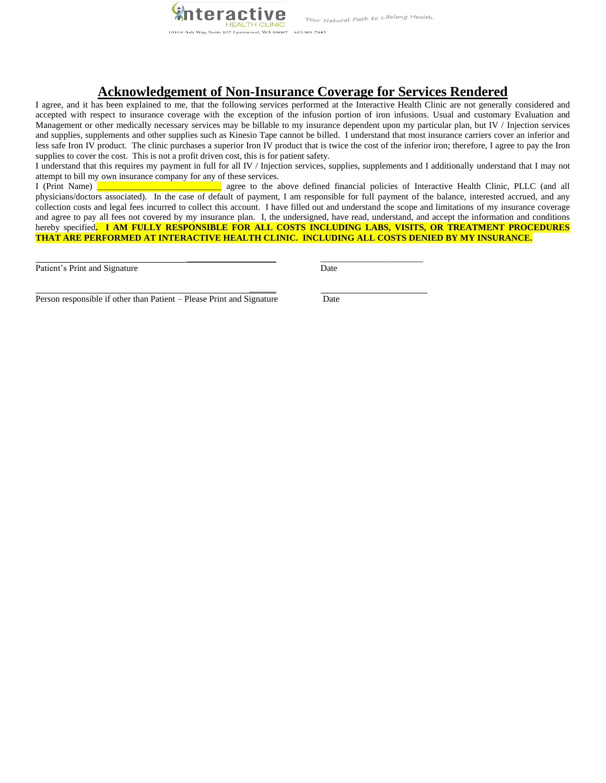

Your Natural Path to Lifelong Health

## **Acknowledgement of Non-Insurance Coverage for Services Rendered**

I agree, and it has been explained to me, that the following services performed at the Interactive Health Clinic are not generally considered and accepted with respect to insurance coverage with the exception of the infusion portion of iron infusions. Usual and customary Evaluation and Management or other medically necessary services may be billable to my insurance dependent upon my particular plan, but IV / Injection services and supplies, supplements and other supplies such as Kinesio Tape cannot be billed. I understand that most insurance carriers cover an inferior and less safe Iron IV product. The clinic purchases a superior Iron IV product that is twice the cost of the inferior iron; therefore, I agree to pay the Iron supplies to cover the cost. This is not a profit driven cost, this is for patient safety.

I understand that this requires my payment in full for all IV / Injection services, supplies, supplements and I additionally understand that I may not attempt to bill my own insurance company for any of these services.

I (Print Name) **EXECUTE:** The above defined financial policies of Interactive Health Clinic, PLLC (and all physicians/doctors associated). In the case of default of payment, I am responsible for full payment of the balance, interested accrued, and any collection costs and legal fees incurred to collect this account. I have filled out and understand the scope and limitations of my insurance coverage and agree to pay all fees not covered by my insurance plan. I, the undersigned, have read, understand, and accept the information and conditions hereby specified**. I AM FULLY RESPONSIBLE FOR ALL COSTS INCLUDING LABS, VISITS, OR TREATMENT PROCEDURES THAT ARE PERFORMED AT INTERACTIVE HEALTH CLINIC. INCLUDING ALL COSTS DENIED BY MY INSURANCE.** 

 $\mathcal{L}$ 

Patient's Print and Signature Date Date Date

 $\overline{\phantom{a}}$  , and the contract of the contract of the contract of the contract of the contract of the contract of the contract of the contract of the contract of the contract of the contract of the contract of the contrac

Person responsible if other than Patient – Please Print and Signature Date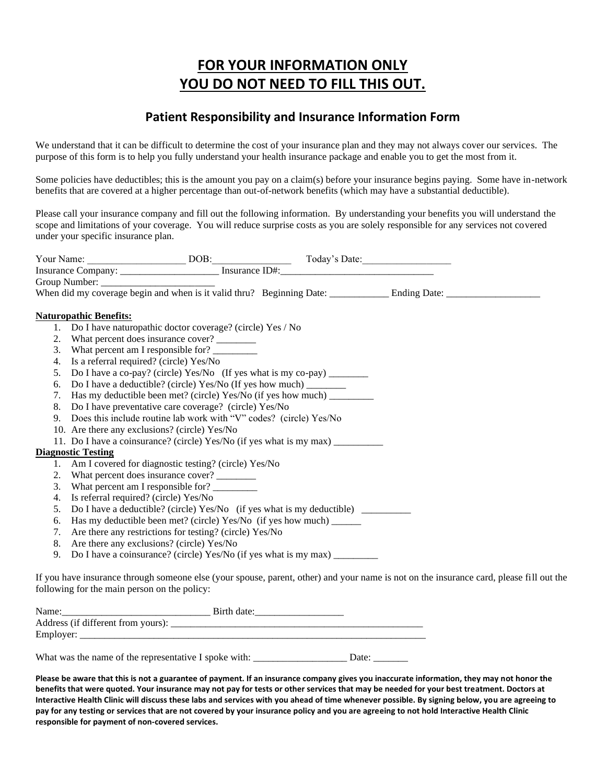## **FOR YOUR INFORMATION ONLY YOU DO NOT NEED TO FILL THIS OUT.**

### **Patient Responsibility and Insurance Information Form**

We understand that it can be difficult to determine the cost of your insurance plan and they may not always cover our services. The purpose of this form is to help you fully understand your health insurance package and enable you to get the most from it.

Some policies have deductibles; this is the amount you pay on a claim(s) before your insurance begins paying. Some have in-network benefits that are covered at a higher percentage than out-of-network benefits (which may have a substantial deductible).

Please call your insurance company and fill out the following information. By understanding your benefits you will understand the scope and limitations of your coverage. You will reduce surprise costs as you are solely responsible for any services not covered under your specific insurance plan.

|    | <b>Naturopathic Benefits:</b>                 |                                                                                  |  |  |  |
|----|-----------------------------------------------|----------------------------------------------------------------------------------|--|--|--|
|    |                                               | 1. Do I have naturopathic doctor coverage? (circle) Yes / No                     |  |  |  |
|    |                                               | 2. What percent does insurance cover?                                            |  |  |  |
|    |                                               | 3. What percent am I responsible for?                                            |  |  |  |
|    | 4. Is a referral required? (circle) Yes/No    |                                                                                  |  |  |  |
| 5. |                                               | Do I have a co-pay? (circle) Yes/No (If yes what is my co-pay) ________          |  |  |  |
| 6. |                                               | Do I have a deductible? (circle) Yes/No (If yes how much) ________               |  |  |  |
|    |                                               | 7. Has my deductible been met? (circle) Yes/No (if yes how much) _________       |  |  |  |
|    |                                               | 8. Do I have preventative care coverage? (circle) Yes/No                         |  |  |  |
|    |                                               | 9. Does this include routine lab work with "V" codes? (circle) Yes/No            |  |  |  |
|    | 10. Are there any exclusions? (circle) Yes/No |                                                                                  |  |  |  |
|    |                                               | 11. Do I have a coinsurance? (circle) Yes/No (if yes what is my max) ___________ |  |  |  |
|    | <b>Diagnostic Testing</b>                     |                                                                                  |  |  |  |
|    |                                               | 1. Am I covered for diagnostic testing? (circle) Yes/No                          |  |  |  |
|    |                                               | 2. What percent does insurance cover?                                            |  |  |  |
|    |                                               | 3. What percent am I responsible for? __________                                 |  |  |  |
|    | 4. Is referral required? (circle) Yes/No      |                                                                                  |  |  |  |
| 5. |                                               | Do I have a deductible? (circle) Yes/No (if yes what is my deductible) ________  |  |  |  |
| 6. |                                               | Has my deductible been met? (circle) Yes/No (if yes how much) _______            |  |  |  |
|    |                                               | 7. Are there any restrictions for testing? (circle) Yes/No                       |  |  |  |
| 8. | Are there any exclusions? (circle) Yes/No     |                                                                                  |  |  |  |
| 9. |                                               | Do I have a coinsurance? (circle) Yes/No (if yes what is my max) _______________ |  |  |  |
|    |                                               |                                                                                  |  |  |  |

If you have insurance through someone else (your spouse, parent, other) and your name is not on the insurance card, please fill out the following for the main person on the policy:

| Name:                                                 | Birth date: |       |  |  |  |
|-------------------------------------------------------|-------------|-------|--|--|--|
| Address (if different from yours):                    |             |       |  |  |  |
| Employer:                                             |             |       |  |  |  |
|                                                       |             |       |  |  |  |
| What was the name of the representative I spoke with: |             | Date: |  |  |  |

**Please be aware that this is not a guarantee of payment. If an insurance company gives you inaccurate information, they may not honor the benefits that were quoted. Your insurance may not pay for tests or other services that may be needed for your best treatment. Doctors at Interactive Health Clinic will discuss these labs and services with you ahead of time whenever possible. By signing below, you are agreeing to pay for any testing or services that are not covered by your insurance policy and you are agreeing to not hold Interactive Health Clinic responsible for payment of non-covered services.**